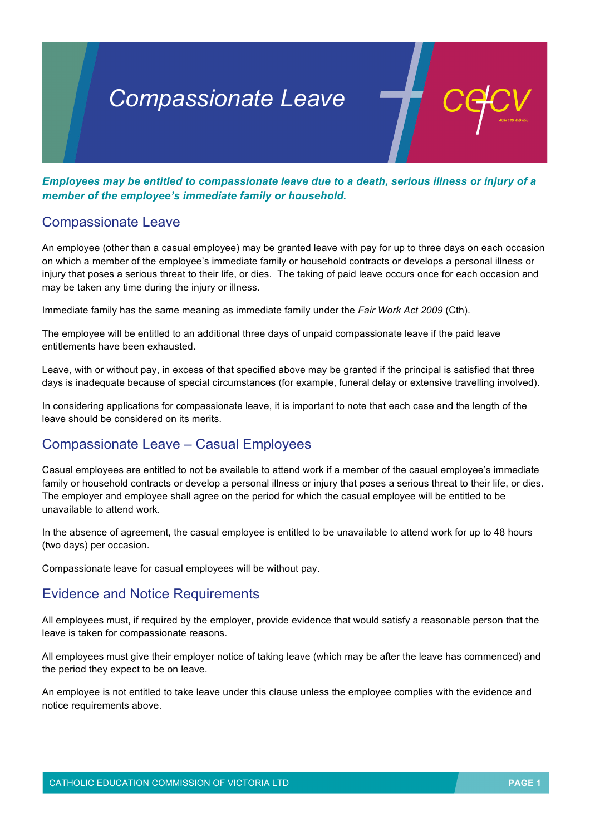# *Compassionate Leave*

*Employees may be entitled to compassionate leave due to a death, serious illness or injury of a member of the employee's immediate family or household.*

### Compassionate Leave

An employee (other than a casual employee) may be granted leave with pay for up to three days on each occasion on which a member of the employee's immediate family or household contracts or develops a personal illness or injury that poses a serious threat to their life, or dies. The taking of paid leave occurs once for each occasion and may be taken any time during the injury or illness.

Immediate family has the same meaning as immediate family under the *Fair Work Act 2009* (Cth).

The employee will be entitled to an additional three days of unpaid compassionate leave if the paid leave entitlements have been exhausted.

Leave, with or without pay, in excess of that specified above may be granted if the principal is satisfied that three days is inadequate because of special circumstances (for example, funeral delay or extensive travelling involved).

In considering applications for compassionate leave, it is important to note that each case and the length of the leave should be considered on its merits.

## Compassionate Leave – Casual Employees

Casual employees are entitled to not be available to attend work if a member of the casual employee's immediate family or household contracts or develop a personal illness or injury that poses a serious threat to their life, or dies. The employer and employee shall agree on the period for which the casual employee will be entitled to be unavailable to attend work.

In the absence of agreement, the casual employee is entitled to be unavailable to attend work for up to 48 hours (two days) per occasion.

Compassionate leave for casual employees will be without pay.

#### Evidence and Notice Requirements

All employees must, if required by the employer, provide evidence that would satisfy a reasonable person that the leave is taken for compassionate reasons.

All employees must give their employer notice of taking leave (which may be after the leave has commenced) and the period they expect to be on leave.

An employee is not entitled to take leave under this clause unless the employee complies with the evidence and notice requirements above.